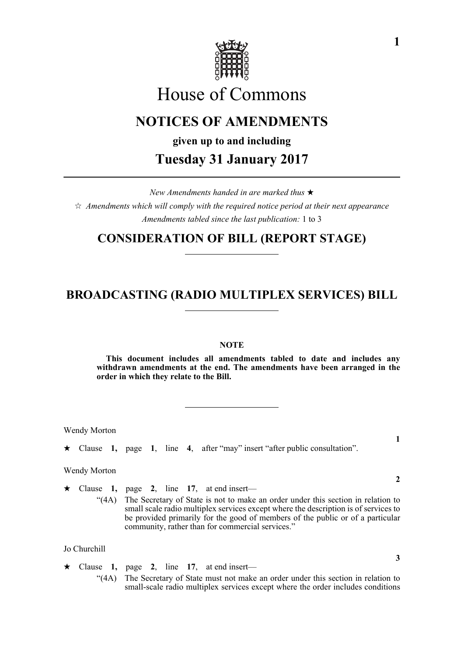

# House of Commons

## **NOTICES OF AMENDMENTS**

**given up to and including**

#### **Tuesday 31 January 2017**

*New Amendments handed in are marked thus Amendments which will comply with the required notice period at their next appearance Amendments tabled since the last publication:* 1 to 3

#### **CONSIDERATION OF BILL (REPORT STAGE)**

### **BROADCASTING (RADIO MULTIPLEX SERVICES) BILL**

#### **NOTE**

**This document includes all amendments tabled to date and includes any withdrawn amendments at the end. The amendments have been arranged in the order in which they relate to the Bill.**

be provided primarily for the good of members of the public or of a particular

Wendy Morton

Clause **1,** page **1**, line **4**, after "may" insert "after public consultation".

community, rather than for commercial services."

Wendy Morton

 $\star$  Clause 1, page 2, line 17, at end insert— "(4A) The Secretary of State is not to make an order under this section in relation to small scale radio multiplex services except where the description is of services to

Jo Churchill

 $\star$  Clause 1, page 2, line 17, at end insert— "(4A) The Secretary of State must not make an order under this section in relation to small-scale radio multiplex services except where the order includes conditions

**2**

**3**

**1**